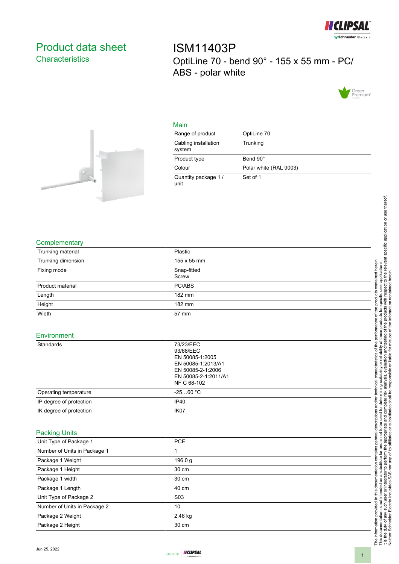

## <span id="page-0-0"></span>Product data sheet **Characteristics**

ISM11403P OptiLine 70 - bend 90° - 155 x 55 mm - PC/ ABS - polar white





|     | ٠ |
|-----|---|
|     |   |
| . . |   |
|     |   |

| Range of product               | OptiLine 70            |
|--------------------------------|------------------------|
| Cabling installation<br>system | Trunking               |
| Product type                   | Bend 90°               |
| Colour                         | Polar white (RAL 9003) |
| Quantity package 1/<br>unit    | Set of 1               |

## **Complementary**

| Trunking material            | Plastic                                                                                                                     |  |
|------------------------------|-----------------------------------------------------------------------------------------------------------------------------|--|
| Trunking dimension           | 155 x 55 mm                                                                                                                 |  |
| Fixing mode                  | Snap-fitted                                                                                                                 |  |
|                              | Screw                                                                                                                       |  |
| Product material             | PC/ABS                                                                                                                      |  |
| Length                       | 182 mm                                                                                                                      |  |
| Height                       | 182 mm                                                                                                                      |  |
| Width                        | 57 mm                                                                                                                       |  |
| Environment                  |                                                                                                                             |  |
| Standards                    | 73/23/EEC<br>93/68/EEC<br>EN 50085-1:2005<br>EN 50085-1:2013/A1<br>EN 50085-2-1:2006<br>EN 50085-2-1:2011/A1<br>NF C 68-102 |  |
| Operating temperature        | $-2560 °C$                                                                                                                  |  |
| IP degree of protection      | IP40                                                                                                                        |  |
| IK degree of protection      | IK07                                                                                                                        |  |
| <b>Packing Units</b>         |                                                                                                                             |  |
| Unit Type of Package 1       | <b>PCE</b>                                                                                                                  |  |
| Number of Units in Package 1 | 1                                                                                                                           |  |
| Package 1 Weight             | 196.0 g                                                                                                                     |  |
| Package 1 Height             | 30 cm                                                                                                                       |  |
| Package 1 width              | 30 cm                                                                                                                       |  |
| Package 1 Length             | 40 cm                                                                                                                       |  |
| Unit Type of Package 2       | S03                                                                                                                         |  |
| Number of Units in Package 2 | 10                                                                                                                          |  |
| Package 2 Weight             | 2.46 kg                                                                                                                     |  |

The information provided in this documentation contains general descriptions and/or technical characteristics of the performance of the products contained herein.<br>This documentation is not intended as a substitute for and It is the duty of any such user or integrator to perform the appropriate and complete risk analysis, evaluation and testing of the products with respect to the relevant specific application or use thereof. The information provided in this documentation contains general descriptions and/or technical characteristics of the performance of the products contained herein. This documentation is not intended as a substitute for and is not to be used for determining suitability or reliability of these products for specific user applications. Neither Schneider Electric Industries SAS nor any of its affiliates or subsidiaries shall be responsible or liable for misuse of the information contained herein.

Package 2 Height 30 cm